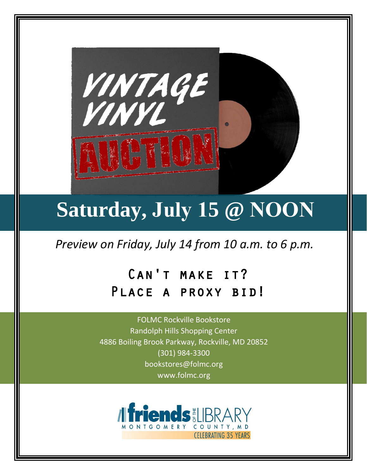

# **Saturday, July 15 @ NOON**

*Preview on Friday, July 14 from 10 a.m. to 6 p.m.*

# Can't make it? Place a proxy bid!

FOLMC Rockville Bookstore Randolph Hills Shopping Center 4886 Boiling Brook Parkway, Rockville, MD 20852 (301) 984-3300 bookstores@folmc.org www.folmc.org

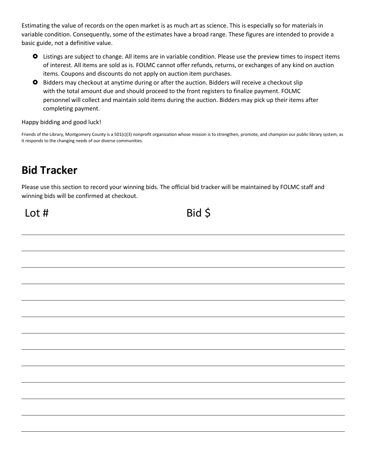Estimating the value of records on the open market is as much art as science. This is especially so for materials in variable condition. Consequently, some of the estimates have a broad range. These figures are intended to provide a basic guide, not a definitive value.

- Listings are subject to change. All items are in variable condition. Please use the preview times to inspect items of interest. All items are sold as is. FOLMC cannot offer refunds, returns, or exchanges of any kind on auction items. Coupons and discounts do not apply on auction item purchases.
- Bidders may checkout at anytime during or after the auction. Bidders will receive a checkout slip with the total amount due and should proceed to the front registers to finalize payment. FOLMC personnel will collect and maintain sold items during the auction. Bidders may pick up their items after completing payment.

Happy bidding and good luck!

Friends of the Library, Montgomery County is a 501(c)(3) nonprofit organization whose mission is to strengthen, promote, and champion our public library system, as it responds to the changing needs of our diverse communities.

# **Bid Tracker**

Please use this section to record your winning bids. The official bid tracker will be maintained by FOLMC staff and winning bids will be confirmed at checkout.

## $\text{Lot } #$  Bid \$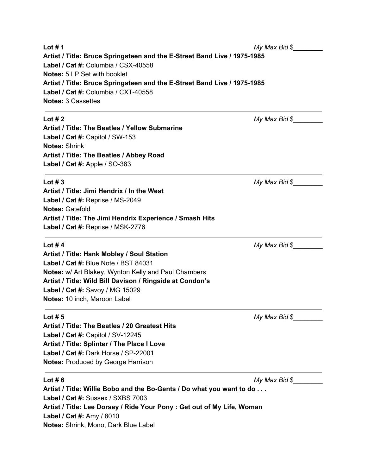**Lot # 1** *My Max Bid* \$ **Artist / Title: Bruce Springsteen and the E-Street Band Live / 1975-1985 Label / Cat #:** Columbia / CSX-40558 **Notes:** 5 LP Set with booklet **Artist / Title: Bruce Springsteen and the E-Street Band Live / 1975-1985 Label / Cat #:** Columbia / CXT-40558 **Notes:** 3 Cassettes

### **Lot # 2** *My Max Bid* \$

**Artist / Title: The Beatles / Yellow Submarine Label / Cat #:** Capitol / SW-153 **Notes:** Shrink **Artist / Title: The Beatles / Abbey Road Label / Cat #:** Apple / SO-383

### **Lot # 3** *My Max Bid* \$

**Artist / Title: Jimi Hendrix / In the West Label / Cat #:** Reprise / MS-2049 **Notes:** Gatefold **Artist / Title: The Jimi Hendrix Experience / Smash Hits Label / Cat #:** Reprise / MSK-2776

**Lot #4** *My Max Bid* \$

**Artist / Title: Hank Mobley / Soul Station Label / Cat #:** Blue Note / BST 84031 **Notes:** w/ Art Blakey, Wynton Kelly and Paul Chambers **Artist / Title: Wild Bill Davison / Ringside at Condon's Label / Cat #:** Savoy / MG 15029 **Notes:** 10 inch, Maroon Label

**Lot # 5** *My Max Bid* \$*\_\_\_\_\_\_\_\_*

**Artist / Title: The Beatles / 20 Greatest Hits Label / Cat #:** Capitol / SV-12245 **Artist / Title: Splinter / The Place I Love Label / Cat #:** Dark Horse / SP-22001 **Notes:** Produced by George Harrison

**Lot # 6** *My Max Bid* \$*\_\_\_\_\_\_\_\_*

**Artist / Title: Willie Bobo and the Bo-Gents / Do what you want to do . . . Label / Cat #:** Sussex / SXBS 7003 **Artist / Title: Lee Dorsey / Ride Your Pony : Get out of My Life, Woman Label / Cat #:** Amy / 8010 **Notes:** Shrink, Mono, Dark Blue Label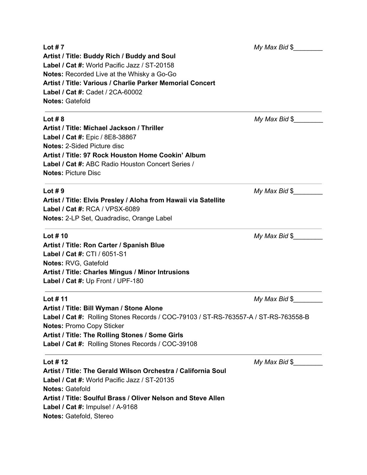### **Lot # 7** *My Max Bid* \$ **Artist / Title: Buddy Rich / Buddy and Soul Label / Cat #:** World Pacific Jazz / ST-20158 **Notes:** Recorded Live at the Whisky a Go-Go **Artist / Title: Various / Charlie Parker Memorial Concert Label / Cat #:** Cadet / 2CA-60002 **Notes:** Gatefold **Lot # 8** *My Max Bid* \$ **Artist / Title: Michael Jackson / Thriller Label / Cat #:** Epic / 8E8-38867 **Notes:** 2-Sided Picture disc **Artist / Title: 97 Rock Houston Home Cookin' Album Label / Cat #:** ABC Radio Houston Concert Series / **Notes:** Picture Disc **Lot #9** *My Max Bid* \$ **Artist / Title: Elvis Presley / Aloha from Hawaii via Satellite Label / Cat #:** RCA / VPSX-6089 **Notes:** 2-LP Set, Quadradisc, Orange Label **Lot # 10** *My Max Bid* \$ **Artist / Title: Ron Carter / Spanish Blue Label / Cat #:** CTI / 6051-S1 **Notes:** RVG, Gatefold **Artist / Title: Charles Mingus / Minor Intrusions Label / Cat #:** Up Front / UPF-180 **Lot # 11** *My Max Bid* \$ **Artist / Title: Bill Wyman / Stone Alone Label / Cat #:** Rolling Stones Records / COC-79103 / ST-RS-763557-A / ST-RS-763558-B **Notes:** Promo Copy Sticker **Artist / Title: The Rolling Stones / Some Girls Label / Cat #:** Rolling Stones Records / COC-39108 **Lot # 12** *My Max Bid* \$ **Artist / Title: The Gerald Wilson Orchestra / California Soul Label / Cat #:** World Pacific Jazz / ST-20135 **Notes:** Gatefold **Artist / Title: Soulful Brass / Oliver Nelson and Steve Allen Label / Cat #:** Impulse! / A-9168

**Notes:** Gatefold, Stereo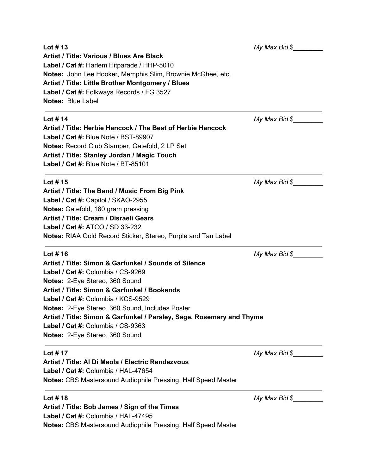| Lot $# 13$                                                            | My Max Bid \$              |
|-----------------------------------------------------------------------|----------------------------|
| <b>Artist / Title: Various / Blues Are Black</b>                      |                            |
| Label / Cat #: Harlem Hitparade / HHP-5010                            |                            |
| Notes: John Lee Hooker, Memphis Slim, Brownie McGhee, etc.            |                            |
| Artist / Title: Little Brother Montgomery / Blues                     |                            |
| Label / Cat #: Folkways Records / FG 3527                             |                            |
| <b>Notes: Blue Label</b>                                              |                            |
| Lot $# 14$                                                            | My Max Bid \$              |
| Artist / Title: Herbie Hancock / The Best of Herbie Hancock           |                            |
| Label / Cat #: Blue Note / BST-89907                                  |                            |
| Notes: Record Club Stamper, Gatefold, 2 LP Set                        |                            |
| Artist / Title: Stanley Jordan / Magic Touch                          |                            |
| Label / Cat #: Blue Note / BT-85101                                   |                            |
| Lot $# 15$                                                            | $My$ Max Bid $\frac{1}{2}$ |
| Artist / Title: The Band / Music From Big Pink                        |                            |
| Label / Cat #: Capitol / SKAO-2955                                    |                            |
| Notes: Gatefold, 180 gram pressing                                    |                            |
| Artist / Title: Cream / Disraeli Gears                                |                            |
| <b>Label / Cat #: ATCO / SD 33-232</b>                                |                            |
| <b>Notes:</b> RIAA Gold Record Sticker, Stereo, Purple and Tan Label  |                            |
| Lot # 16                                                              | $My$ Max Bid $\frac{1}{2}$ |
| Artist / Title: Simon & Garfunkel / Sounds of Silence                 |                            |
| Label / Cat #: Columbia / CS-9269                                     |                            |
| Notes: 2-Eye Stereo, 360 Sound                                        |                            |
| Artist / Title: Simon & Garfunkel / Bookends                          |                            |
| Label / Cat #: Columbia / KCS-9529                                    |                            |
| Notes: 2-Eye Stereo, 360 Sound, Includes Poster                       |                            |
| Artist / Title: Simon & Garfunkel / Parsley, Sage, Rosemary and Thyme |                            |
| Label / Cat #: Columbia / CS-9363                                     |                            |
| Notes: 2-Eye Stereo, 360 Sound                                        |                            |
| Lot # 17                                                              | $My$ Max Bid $\frac{6}{3}$ |
| Artist / Title: Al Di Meola / Electric Rendezvous                     |                            |
| Label / Cat #: Columbia / HAL-47654                                   |                            |
| <b>Notes: CBS Mastersound Audiophile Pressing, Half Speed Master</b>  |                            |
| Lot #18                                                               | My Max Bid \$              |
| Artist / Title: Bob James / Sign of the Times                         |                            |
| Label / Cat #: Columbia / HAL-47495                                   |                            |

**Notes:** CBS Mastersound Audiophile Pressing, Half Speed Master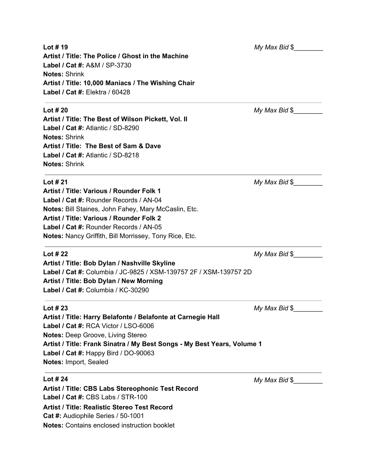| Lot $#$ 19                                                              | My Max Bid \$              |
|-------------------------------------------------------------------------|----------------------------|
| Artist / Title: The Police / Ghost in the Machine                       |                            |
| Label / Cat #: A&M / SP-3730                                            |                            |
| <b>Notes: Shrink</b>                                                    |                            |
| Artist / Title: 10,000 Maniacs / The Wishing Chair                      |                            |
| Label / Cat #: Elektra / 60428                                          |                            |
| Lot $#20$                                                               | $My$ Max Bid $\$$          |
| Artist / Title: The Best of Wilson Pickett, Vol. II                     |                            |
| Label / Cat #: Atlantic / SD-8290                                       |                            |
| <b>Notes: Shrink</b>                                                    |                            |
| Artist / Title: The Best of Sam & Dave                                  |                            |
| Label / Cat #: Atlantic / SD-8218                                       |                            |
| <b>Notes: Shrink</b>                                                    |                            |
| Lot $#21$                                                               | My Max Bid \$              |
| Artist / Title: Various / Rounder Folk 1                                |                            |
| Label / Cat #: Rounder Records / AN-04                                  |                            |
| Notes: Bill Staines, John Fahey, Mary McCaslin, Etc.                    |                            |
| Artist / Title: Various / Rounder Folk 2                                |                            |
| Label / Cat #: Rounder Records / AN-05                                  |                            |
| <b>Notes: Nancy Griffith, Bill Morrissey, Tony Rice, Etc.</b>           |                            |
| Lot $#22$                                                               | $My$ Max Bid $\frac{1}{2}$ |
| Artist / Title: Bob Dylan / Nashville Skyline                           |                            |
| Label / Cat #: Columbia / JC-9825 / XSM-139757 2F / XSM-139757 2D       |                            |
| Artist / Title: Bob Dylan / New Morning                                 |                            |
| Label / Cat #: Columbia / KC-30290                                      |                            |
| Lot $#23$                                                               | My Max Bid \$              |
| Artist / Title: Harry Belafonte / Belafonte at Carnegie Hall            |                            |
| Label / Cat #: RCA Victor / LSO-6006                                    |                            |
| <b>Notes: Deep Groove, Living Stereo</b>                                |                            |
| Artist / Title: Frank Sinatra / My Best Songs - My Best Years, Volume 1 |                            |
| Label / Cat #: Happy Bird / DO-90063                                    |                            |
| Notes: Import, Sealed                                                   |                            |
| Lot # 24                                                                | $My$ Max Bid $\frac{6}{3}$ |
| Artist / Title: CBS Labs Stereophonic Test Record                       |                            |
| Label / Cat #: CBS Labs / STR-100                                       |                            |

**Artist / Title: Realistic Stereo Test Record** 

**Notes:** Contains enclosed instruction booklet

**Cat #:** Audiophile Series / 50-1001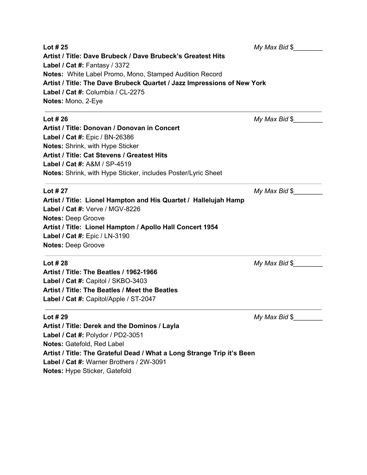| Lot # 25                                                                | My Max Bid \$              |  |
|-------------------------------------------------------------------------|----------------------------|--|
| Artist / Title: Dave Brubeck / Dave Brubeck's Greatest Hits             |                            |  |
| Label / Cat #: Fantasy / 3372                                           |                            |  |
| Notes: White Label Promo, Mono, Stamped Audition Record                 |                            |  |
| Artist / Title: The Dave Brubeck Quartet / Jazz Impressions of New York |                            |  |
| Label / Cat #: Columbia / CL-2275                                       |                            |  |
| Notes: Mono, 2-Eye                                                      |                            |  |
| Lot # 26                                                                | $My$ Max Bid $\frac{6}{3}$ |  |
| Artist / Title: Donovan / Donovan in Concert                            |                            |  |
| Label / Cat #: Epic / BN-26386                                          |                            |  |
| Notes: Shrink, with Hype Sticker                                        |                            |  |
| Artist / Title: Cat Stevens / Greatest Hits                             |                            |  |
| Label / Cat #: A&M / SP-4519                                            |                            |  |
| Notes: Shrink, with Hype Sticker, includes Poster/Lyric Sheet           |                            |  |
| Lot # 27                                                                | My Max Bid \$              |  |
| Artist / Title: Lionel Hampton and His Quartet / Hallelujah Hamp        |                            |  |
| Label / Cat #: Verve / MGV-8226                                         |                            |  |
| <b>Notes: Deep Groove</b>                                               |                            |  |
| Artist / Title: Lionel Hampton / Apollo Hall Concert 1954               |                            |  |
| Label / Cat #: Epic / LN-3190                                           |                            |  |
| <b>Notes: Deep Groove</b>                                               |                            |  |
| Lot # 28                                                                | $My$ Max Bid $\frac{6}{3}$ |  |
| Artist / Title: The Beatles / 1962-1966                                 |                            |  |
| Label / Cat #: Capitol / SKBO-3403                                      |                            |  |
| Artist / Title: The Beatles / Meet the Beatles                          |                            |  |
| Label / Cat #: Capitol/Apple / ST-2047                                  |                            |  |
| Lot # 29                                                                | My Max Bid \$              |  |
| Artist / Title: Derek and the Dominos / Layla                           |                            |  |
| Label / Cat #: Polydor / PD2-3051                                       |                            |  |
| Notes: Gatefold, Red Label                                              |                            |  |
| Artist / Title: The Grateful Dead / What a Long Strange Trip it's Been  |                            |  |
| Label / Cat #: Warner Brothers / 2W-3091                                |                            |  |
|                                                                         |                            |  |

**Notes:** Hype Sticker, Gatefold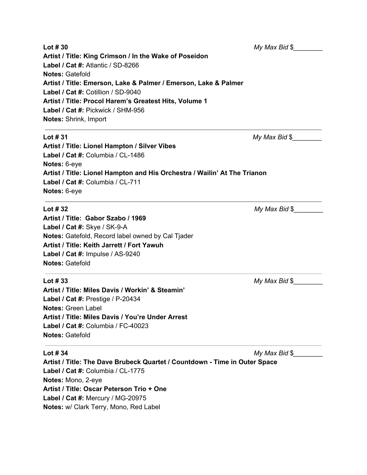| Lot $#30$                                                                  | My Max Bid \$              |  |  |
|----------------------------------------------------------------------------|----------------------------|--|--|
| Artist / Title: King Crimson / In the Wake of Poseidon                     |                            |  |  |
| Label / Cat #: Atlantic / SD-8266                                          |                            |  |  |
| <b>Notes: Gatefold</b>                                                     |                            |  |  |
| Artist / Title: Emerson, Lake & Palmer / Emerson, Lake & Palmer            |                            |  |  |
| Label / Cat #: Cotillion / SD-9040                                         |                            |  |  |
| Artist / Title: Procol Harem's Greatest Hits, Volume 1                     |                            |  |  |
| Label / Cat #: Pickwick / SHM-956                                          |                            |  |  |
| <b>Notes: Shrink, Import</b>                                               |                            |  |  |
| Lot $#31$                                                                  | $My$ Max Bid $\frac{6}{3}$ |  |  |
| Artist / Title: Lionel Hampton / Silver Vibes                              |                            |  |  |
| Label / Cat #: Columbia / CL-1486                                          |                            |  |  |
| Notes: 6-eye                                                               |                            |  |  |
| Artist / Title: Lionel Hampton and His Orchestra / Wailin' At The Trianon  |                            |  |  |
| Label / Cat #: Columbia / CL-711                                           |                            |  |  |
| Notes: 6-eye                                                               |                            |  |  |
| Lot $#32$                                                                  | My Max Bid \$              |  |  |
| Artist / Title: Gabor Szabo / 1969                                         |                            |  |  |
| Label / Cat #: Skye / SK-9-A                                               |                            |  |  |
| Notes: Gatefold, Record label owned by Cal Tjader                          |                            |  |  |
| Artist / Title: Keith Jarrett / Fort Yawuh                                 |                            |  |  |
| Label / Cat #: Impulse / AS-9240                                           |                            |  |  |
| <b>Notes: Gatefold</b>                                                     |                            |  |  |
| Lot $#33$                                                                  | $My$ Max Bid $\frac{6}{3}$ |  |  |
| Artist / Title: Miles Davis / Workin' & Steamin'                           |                            |  |  |
| Label / Cat #: Prestige / P-20434                                          |                            |  |  |
| <b>Notes: Green Label</b>                                                  |                            |  |  |
| Artist / Title: Miles Davis / You're Under Arrest                          |                            |  |  |
| Label / Cat #: Columbia / FC-40023                                         |                            |  |  |
| <b>Notes: Gatefold</b>                                                     |                            |  |  |
| Lot $#34$                                                                  | My Max Bid \$              |  |  |
| Artist / Title: The Dave Brubeck Quartet / Countdown - Time in Outer Space |                            |  |  |
| Label / Cat #: Columbia / CL-1775                                          |                            |  |  |
| Notes: Mono, 2-eye                                                         |                            |  |  |
| Artist / Title: Oscar Peterson Trio + One                                  |                            |  |  |
| Label / Cat #: Mercury / MG-20975                                          |                            |  |  |
| Notes: w/ Clark Terry, Mono, Red Label                                     |                            |  |  |
|                                                                            |                            |  |  |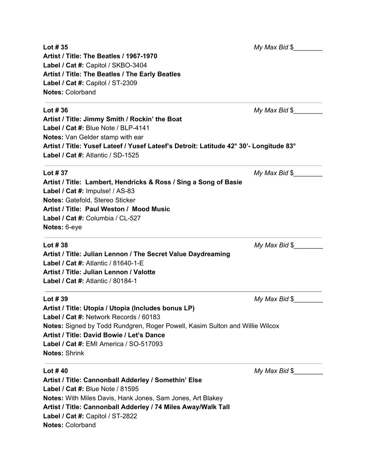| Lot $#35$                                                                              | My Max Bid \$              |
|----------------------------------------------------------------------------------------|----------------------------|
| Artist / Title: The Beatles / 1967-1970                                                |                            |
| Label / Cat #: Capitol / SKBO-3404                                                     |                            |
| Artist / Title: The Beatles / The Early Beatles                                        |                            |
| Label / Cat #: Capitol / ST-2309                                                       |                            |
| <b>Notes: Colorband</b>                                                                |                            |
|                                                                                        |                            |
| Lot $\#$ 36                                                                            | $My$ Max Bid $\frac{6}{3}$ |
| Artist / Title: Jimmy Smith / Rockin' the Boat                                         |                            |
| Label / Cat #: Blue Note / BLP-4141                                                    |                            |
| Notes: Van Gelder stamp with ear                                                       |                            |
| Artist / Title: Yusef Lateef / Yusef Lateef's Detroit: Latitude 42° 30'- Longitude 83° |                            |
| Label / Cat #: Atlantic / SD-1525                                                      |                            |
| Lot $#37$                                                                              | My Max Bid \$              |
| Artist / Title: Lambert, Hendricks & Ross / Sing a Song of Basie                       |                            |
| Label / Cat #: Impulse! / AS-83                                                        |                            |
| Notes: Gatefold, Stereo Sticker                                                        |                            |
| Artist / Title: Paul Weston / Mood Music                                               |                            |
| Label / Cat #: Columbia / CL-527                                                       |                            |
| Notes: 6-eye                                                                           |                            |
| Lot $#38$                                                                              | $My$ Max Bid $\frac{6}{2}$ |
| Artist / Title: Julian Lennon / The Secret Value Daydreaming                           |                            |
| Label / Cat #: Atlantic / 81640-1-E                                                    |                            |
| Artist / Title: Julian Lennon / Valotte                                                |                            |
| Label / Cat #: Atlantic / 80184-1                                                      |                            |
|                                                                                        |                            |
| Lot $#39$                                                                              | My Max Bid \$              |
| Artist / Title: Utopia / Utopia (Includes bonus LP)                                    |                            |
| Label / Cat #: Network Records / 60183                                                 |                            |
| Notes: Signed by Todd Rundgren, Roger Powell, Kasim Sulton and Willie Wilcox           |                            |
| Artist / Title: David Bowie / Let's Dance                                              |                            |
| Label / Cat #: EMI America / SO-517093                                                 |                            |
| <b>Notes: Shrink</b>                                                                   |                            |
| Lot $#40$                                                                              | My Max Bid \$              |
| Artist / Title: Cannonball Adderley / Somethin' Else                                   |                            |
| Label / Cat #: Blue Note / 81595                                                       |                            |
| <b>Notes:</b> With Miles Davis, Hank Jones, Sam Jones, Art Blakey                      |                            |
| Artist / Title: Cannonball Adderley / 74 Miles Away/Walk Tall                          |                            |
| Label / Cat #: Capitol / ST-2822                                                       |                            |
|                                                                                        |                            |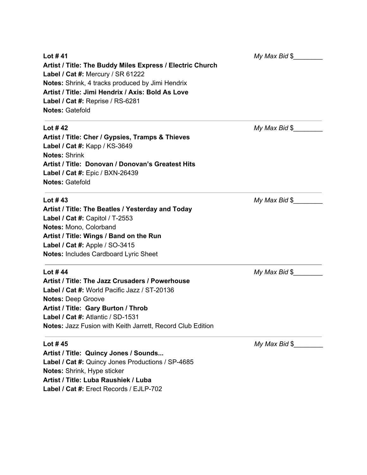| Lot #41<br>Artist / Title: The Buddy Miles Express / Electric Church<br>Label / Cat #: Mercury / SR 61222<br>Notes: Shrink, 4 tracks produced by Jimi Hendrix<br>Artist / Title: Jimi Hendrix / Axis: Bold As Love<br>Label / Cat #: Reprise / RS-6281<br><b>Notes: Gatefold</b> | My Max Bid \$              |
|----------------------------------------------------------------------------------------------------------------------------------------------------------------------------------------------------------------------------------------------------------------------------------|----------------------------|
| Lot #42                                                                                                                                                                                                                                                                          | $My$ Max Bid $\frac{1}{2}$ |
| Artist / Title: Cher / Gypsies, Tramps & Thieves                                                                                                                                                                                                                                 |                            |
| Label / Cat #: Kapp / KS-3649                                                                                                                                                                                                                                                    |                            |
| <b>Notes: Shrink</b>                                                                                                                                                                                                                                                             |                            |
| Artist / Title: Donovan / Donovan's Greatest Hits                                                                                                                                                                                                                                |                            |
| Label / Cat #: Epic / BXN-26439                                                                                                                                                                                                                                                  |                            |
| <b>Notes: Gatefold</b>                                                                                                                                                                                                                                                           |                            |
| Lot #43                                                                                                                                                                                                                                                                          | $My$ Max Bid $\frac{6}{3}$ |
| Artist / Title: The Beatles / Yesterday and Today                                                                                                                                                                                                                                |                            |
| Label / Cat #: Capitol / T-2553                                                                                                                                                                                                                                                  |                            |
| Notes: Mono, Colorband                                                                                                                                                                                                                                                           |                            |
| Artist / Title: Wings / Band on the Run                                                                                                                                                                                                                                          |                            |
| Label / Cat #: Apple / SO-3415                                                                                                                                                                                                                                                   |                            |
| <b>Notes: Includes Cardboard Lyric Sheet</b>                                                                                                                                                                                                                                     |                            |
| Lot #44                                                                                                                                                                                                                                                                          | My Max Bid \$              |
| Artist / Title: The Jazz Crusaders / Powerhouse                                                                                                                                                                                                                                  |                            |
| Label / Cat #: World Pacific Jazz / ST-20136                                                                                                                                                                                                                                     |                            |
| <b>Notes: Deep Groove</b>                                                                                                                                                                                                                                                        |                            |
| Artist / Title: Gary Burton / Throb                                                                                                                                                                                                                                              |                            |
| Label / Cat #: Atlantic / SD-1531                                                                                                                                                                                                                                                |                            |
| Notes: Jazz Fusion with Keith Jarrett, Record Club Edition                                                                                                                                                                                                                       |                            |
| Lot #45                                                                                                                                                                                                                                                                          | My Max Bid \$              |
| Artist / Title: Quincy Jones / Sounds                                                                                                                                                                                                                                            |                            |

**Label / Cat #:** Quincy Jones Productions / SP-4685 **Notes:** Shrink, Hype sticker **Artist / Title: Luba Raushiek / Luba**

**Label / Cat #:** Erect Records / EJLP-702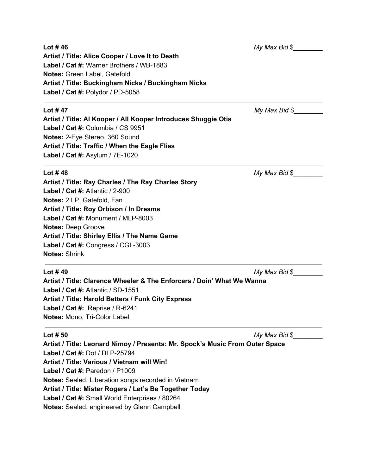| Lot #46                                                                      | $My$ Max Bid $\frac{6}{3}$ |  |
|------------------------------------------------------------------------------|----------------------------|--|
| Artist / Title: Alice Cooper / Love It to Death                              |                            |  |
| Label / Cat #: Warner Brothers / WB-1883                                     |                            |  |
| Notes: Green Label, Gatefold                                                 |                            |  |
| Artist / Title: Buckingham Nicks / Buckingham Nicks                          |                            |  |
| Label / Cat #: Polydor / PD-5058                                             |                            |  |
| Lot #47                                                                      | My Max Bid \$              |  |
| Artist / Title: Al Kooper / All Kooper Introduces Shuggie Otis               |                            |  |
| Label / Cat #: Columbia / CS 9951                                            |                            |  |
| Notes: 2-Eye Stereo, 360 Sound                                               |                            |  |
| Artist / Title: Traffic / When the Eagle Flies                               |                            |  |
| Label / Cat #: Asylum / 7E-1020                                              |                            |  |
| Lot $#48$                                                                    | $My$ Max Bid $\$$          |  |
| Artist / Title: Ray Charles / The Ray Charles Story                          |                            |  |
| Label / Cat #: Atlantic / 2-900                                              |                            |  |
| Notes: 2 LP, Gatefold, Fan                                                   |                            |  |
| Artist / Title: Roy Orbison / In Dreams                                      |                            |  |
| Label / Cat #: Monument / MLP-8003                                           |                            |  |
| <b>Notes: Deep Groove</b>                                                    |                            |  |
| Artist / Title: Shirley Ellis / The Name Game                                |                            |  |
| Label / Cat #: Congress / CGL-3003                                           |                            |  |
| <b>Notes: Shrink</b>                                                         |                            |  |
| Lot $#49$                                                                    | $My$ Max Bid $\frac{6}{3}$ |  |
| Artist / Title: Clarence Wheeler & The Enforcers / Doin' What We Wanna       |                            |  |
| Label / Cat #: Atlantic / SD-1551                                            |                            |  |
| Artist / Title: Harold Betters / Funk City Express                           |                            |  |
| Label / Cat #: Reprise / R-6241                                              |                            |  |
| Notes: Mono, Tri-Color Label                                                 |                            |  |
| Lot $# 50$                                                                   | My Max Bid \$              |  |
| Artist / Title: Leonard Nimoy / Presents: Mr. Spock's Music From Outer Space |                            |  |
| Label / Cat #: Dot / DLP-25794                                               |                            |  |
| Artist / Title: Various / Vietnam will Win!                                  |                            |  |
| Label / Cat #: Paredon / P1009                                               |                            |  |

**Notes:** Sealed, Liberation songs recorded in Vietnam

**Artist / Title: Mister Rogers / Let's Be Together Today**

**Label / Cat #:** Small World Enterprises / 80264

**Notes:** Sealed, engineered by Glenn Campbell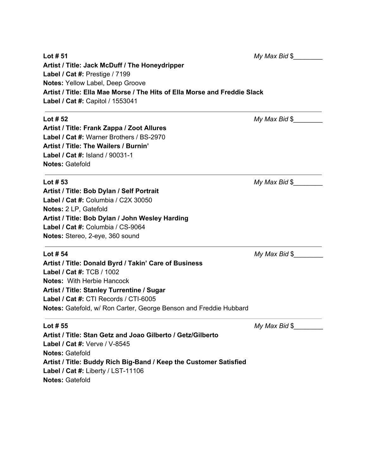| Lot $# 51$                                                                | $My$ Max Bid $\frac{6}{3}$ |  |
|---------------------------------------------------------------------------|----------------------------|--|
| Artist / Title: Jack McDuff / The Honeydripper                            |                            |  |
| Label / Cat #: Prestige / 7199                                            |                            |  |
| Notes: Yellow Label, Deep Groove                                          |                            |  |
| Artist / Title: Ella Mae Morse / The Hits of Ella Morse and Freddie Slack |                            |  |
| Label / Cat #: Capitol / 1553041                                          |                            |  |
| Lot $# 52$                                                                | My Max Bid \$              |  |
| Artist / Title: Frank Zappa / Zoot Allures                                |                            |  |
| Label / Cat #: Warner Brothers / BS-2970                                  |                            |  |
| Artist / Title: The Wailers / Burnin'                                     |                            |  |
| Label / Cat #: Island / 90031-1                                           |                            |  |
| <b>Notes: Gatefold</b>                                                    |                            |  |
| Lot $# 53$                                                                | $My$ Max Bid $\frac{6}{3}$ |  |
| Artist / Title: Bob Dylan / Self Portrait                                 |                            |  |
| Label / Cat #: Columbia / C2X 30050                                       |                            |  |
| Notes: 2 LP, Gatefold                                                     |                            |  |
| Artist / Title: Bob Dylan / John Wesley Harding                           |                            |  |
| Label / Cat #: Columbia / CS-9064                                         |                            |  |
| Notes: Stereo, 2-eye, 360 sound                                           |                            |  |
| Lot $# 54$                                                                | $My$ Max Bid $\frac{1}{2}$ |  |
| Artist / Title: Donald Byrd / Takin' Care of Business                     |                            |  |
| Label / Cat #: TCB / 1002                                                 |                            |  |
| <b>Notes: With Herbie Hancock</b>                                         |                            |  |
| Artist / Title: Stanley Turrentine / Sugar                                |                            |  |
| Label / Cat #: CTI Records / CTI-6005                                     |                            |  |
| Notes: Gatefold, w/ Ron Carter, George Benson and Freddie Hubbard         |                            |  |
| Lot $# 55$                                                                | My Max Bid \$              |  |
| Artist / Title: Stan Getz and Joao Gilberto / Getz/Gilberto               |                            |  |
| Label / Cat #: Verve / V-8545                                             |                            |  |
| <b>Notes: Gatefold</b>                                                    |                            |  |
| Artist / Title: Buddy Rich Big-Band / Keep the Customer Satisfied         |                            |  |
| Label / Cat #: Liberty / LST-11106                                        |                            |  |
| <b>Notes: Gatefold</b>                                                    |                            |  |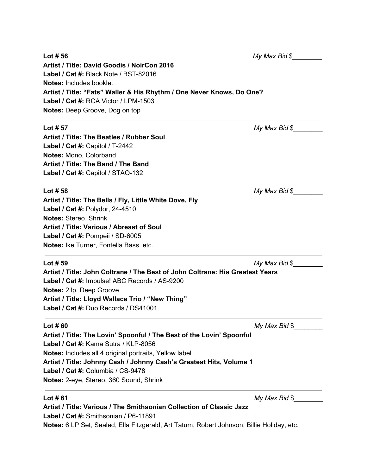| Lot $# 56$                                                                    | $My$ Max Bid $\frac{6}{3}$ |
|-------------------------------------------------------------------------------|----------------------------|
| Artist / Title: David Goodis / NoirCon 2016                                   |                            |
| Label / Cat #: Black Note / BST-82016                                         |                            |
| <b>Notes: Includes booklet</b>                                                |                            |
| Artist / Title: "Fats" Waller & His Rhythm / One Never Knows, Do One?         |                            |
| Label / Cat #: RCA Victor / LPM-1503                                          |                            |
| Notes: Deep Groove, Dog on top                                                |                            |
| Lot $# 57$                                                                    | My Max Bid \$              |
| Artist / Title: The Beatles / Rubber Soul                                     |                            |
| Label / Cat #: Capitol / T-2442                                               |                            |
| Notes: Mono, Colorband                                                        |                            |
| Artist / Title: The Band / The Band                                           |                            |
| Label / Cat #: Capitol / STAO-132                                             |                            |
| Lot $#58$                                                                     | My Max Bid \$              |
| Artist / Title: The Bells / Fly, Little White Dove, Fly                       |                            |
| Label / Cat #: Polydor, 24-4510                                               |                            |
| Notes: Stereo, Shrink                                                         |                            |
| Artist / Title: Various / Abreast of Soul                                     |                            |
| Label / Cat #: Pompeii / SD-6005                                              |                            |
| Notes: Ike Turner, Fontella Bass, etc.                                        |                            |
| Lot $#59$                                                                     | My Max Bid \$              |
| Artist / Title: John Coltrane / The Best of John Coltrane: His Greatest Years |                            |
| Label / Cat #: Impulse! ABC Records / AS-9200                                 |                            |
| Notes: 2 lp, Deep Groove                                                      |                            |
| Artist / Title: Lloyd Wallace Trio / "New Thing"                              |                            |
| Label / Cat #: Duo Records / DS41001                                          |                            |
| Lot $#60$                                                                     | My Max Bid \$              |

**Artist / Title: The Lovin' Spoonful / The Best of the Lovin' Spoonful Label / Cat #:** Kama Sutra / KLP-8056 **Notes:** Includes all 4 original portraits, Yellow label **Artist / Title: Johnny Cash / Johnny Cash's Greatest Hits, Volume 1 Label / Cat #:** Columbia / CS-9478 **Notes:** 2-eye, Stereo, 360 Sound, Shrink

**Lot # 61** *My Max Bid* \$*\_\_\_\_\_\_\_\_*

**Artist / Title: Various / The Smithsonian Collection of Classic Jazz Label / Cat #:** Smithsonian / P6-11891 **Notes:** 6 LP Set, Sealed, Ella Fitzgerald, Art Tatum, Robert Johnson, Billie Holiday, etc.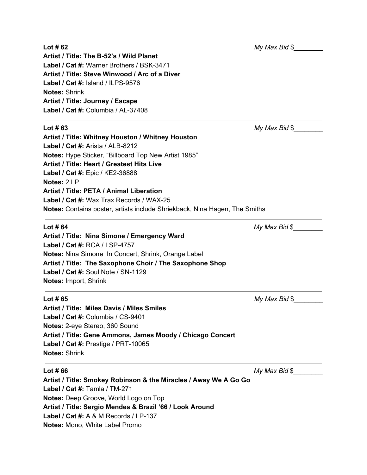**Artist / Title: The B-52's / Wild Planet Label / Cat #:** Warner Brothers / BSK-3471 **Artist / Title: Steve Winwood / Arc of a Diver Label / Cat #:** Island / ILPS-9576 **Notes:** Shrink **Artist / Title: Journey / Escape Label / Cat #:** Columbia / AL-37408

**Artist / Title: Whitney Houston / Whitney Houston Label / Cat #:** Arista / ALB-8212 **Notes:** Hype Sticker, "Billboard Top New Artist 1985" **Artist / Title: Heart / Greatest Hits Live Label / Cat #:** Epic / KE2-36888 **Notes:** 2 LP **Artist / Title: PETA / Animal Liberation Label / Cat #:** Wax Trax Records / WAX-25 **Notes:** Contains poster, artists include Shriekback, Nina Hagen, The Smiths

**Artist / Title: Nina Simone / Emergency Ward Label / Cat #:** RCA / LSP-4757 **Notes:** Nina Simone In Concert, Shrink, Orange Label **Artist / Title: The Saxophone Choir / The Saxophone Shop Label / Cat #:** Soul Note / SN-1129 **Notes:** Import, Shrink

**Artist / Title: Miles Davis / Miles Smiles Label / Cat #:** Columbia / CS-9401 **Notes:** 2-eye Stereo, 360 Sound **Artist / Title: Gene Ammons, James Moody / Chicago Concert Label / Cat #:** Prestige / PRT-10065 **Notes:** Shrink

**Artist / Title: Smokey Robinson & the Miracles / Away We A Go Go Label / Cat #:** Tamla / TM-271 **Notes:** Deep Groove, World Logo on Top **Artist / Title: Sergio Mendes & Brazil '66 / Look Around Label / Cat #:** A & M Records / LP-137 **Notes:** Mono, White Label Promo

**Lot # 62** *My Max Bid* \$*\_\_\_\_\_\_\_\_*

**Lot # 63** *My Max Bid* \$*\_\_\_\_\_\_\_\_*

**Lot # 64** *My Max Bid* \$*\_\_\_\_\_\_\_\_*

**Lot # 65** *My Max Bid* \$*\_\_\_\_\_\_\_\_*

**Lot # 66** *My Max Bid* \$*\_\_\_\_\_\_\_\_*